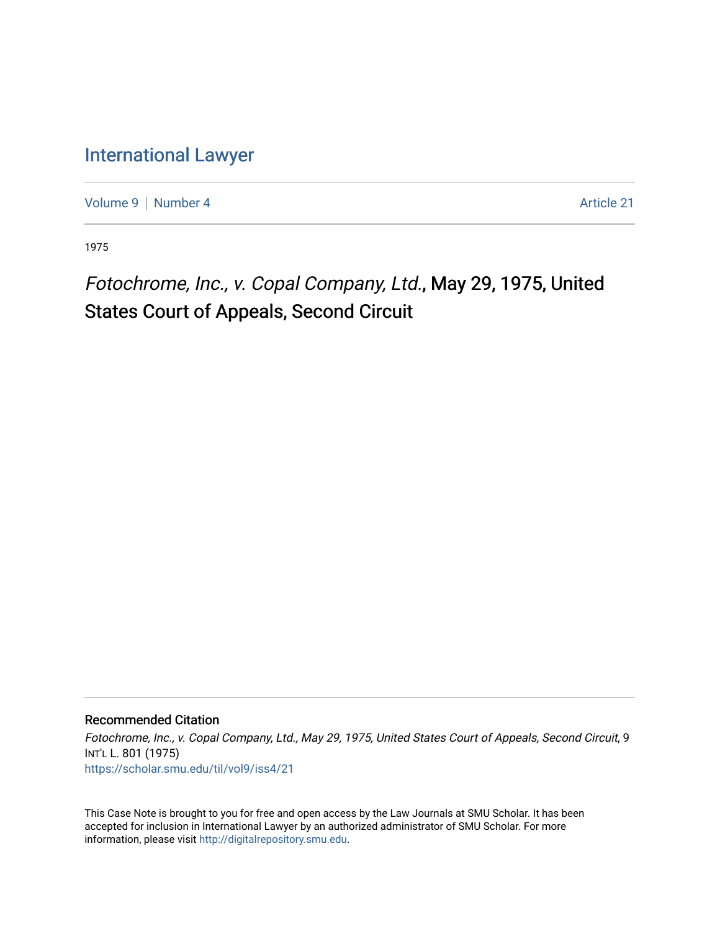## [International Lawyer](https://scholar.smu.edu/til)

[Volume 9](https://scholar.smu.edu/til/vol9) | [Number 4](https://scholar.smu.edu/til/vol9/iss4) Article 21

1975

# Fotochrome, Inc., v. Copal Company, Ltd., May 29, 1975, United States Court of Appeals, Second Circuit

### Recommended Citation

Fotochrome, Inc., v. Copal Company, Ltd., May 29, 1975, United States Court of Appeals, Second Circuit, 9 INT'L L. 801 (1975) [https://scholar.smu.edu/til/vol9/iss4/21](https://scholar.smu.edu/til/vol9/iss4/21?utm_source=scholar.smu.edu%2Ftil%2Fvol9%2Fiss4%2F21&utm_medium=PDF&utm_campaign=PDFCoverPages)

This Case Note is brought to you for free and open access by the Law Journals at SMU Scholar. It has been accepted for inclusion in International Lawyer by an authorized administrator of SMU Scholar. For more information, please visit [http://digitalrepository.smu.edu](http://digitalrepository.smu.edu/).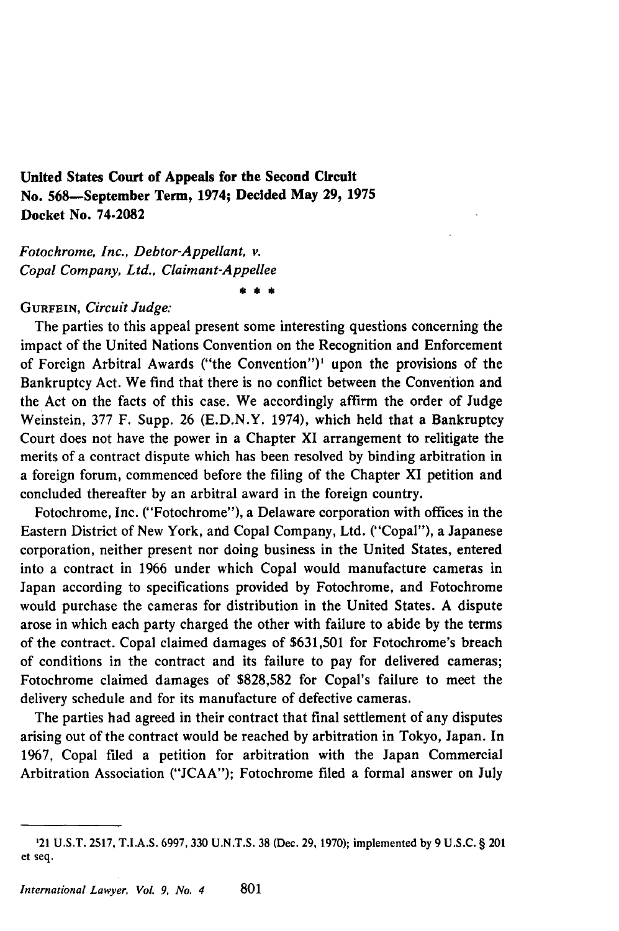#### **United States Court of Appeals for the Second Circuit No. 568-September Term, 1974; Decided May 29, 1975 Docket No. 74.2082**

*Fotochrome, Inc., Debtor-Appellant, v. Copal Company, Ltd., Claimant-Appellee*

#### \* \* \*

#### GURFEIN, *Circuit Judge:*

The parties to this appeal present some interesting questions concerning the impact of the United Nations Convention on the Recognition and Enforcement of Foreign Arbitral Awards ("the Convention")' upon the provisions of the Bankruptcy Act. We find that there is no conflict between the Convention and the Act on the facts of this case. We accordingly affirm the order of Judge Weinstein, **377** F. Supp. **26 (E.D.N.Y.** 1974), which held that a Bankruptcy Court does not have the power in a Chapter XI arrangement to relitigate the merits of a contract dispute which has been resolved **by** binding arbitration in a foreign forum, commenced before the filing of the Chapter XI petition and concluded thereafter **by** an arbitral award in the foreign country.

Fotochrome, Inc. ("Fotochrome"), a Delaware corporation with offices in the Eastern District of New York, and Copal Company, Ltd. ("Copal"), a Japanese corporation, neither present nor doing business in the United States, entered into a contract in **1966** under which Copal would manufacture cameras in Japan according to specifications provided **by** Fotochrome, and Fotochrome would purchase the cameras for distribution in the United States. **A** dispute arose in which each party charged the other with failure to abide **by** the terms of the contract. Copal claimed damages of **\$631,501** for Fotochrome's breach of conditions in the contract and its failure to pay for delivered cameras; Fotochrome claimed damages of **\$828,582** for Copal's failure to meet the delivery schedule and for its manufacture of defective cameras.

The parties had agreed in their contract that final settlement of any disputes arising out of the contract would be reached by arbitration in Tokyo, Japan. In 1967, Copal filed a petition for arbitration with the Japan Commercial Arbitration Association ("JCAA"); Fotochrome filed a formal answer on July

<sup>121</sup>**U.S.T.** 2517, T.I.A.S. **6997, 330** U.N.T.S. **38** (Dec. **29,** 1970); implemented **by 9** U.S.C. **§** 201 et seq.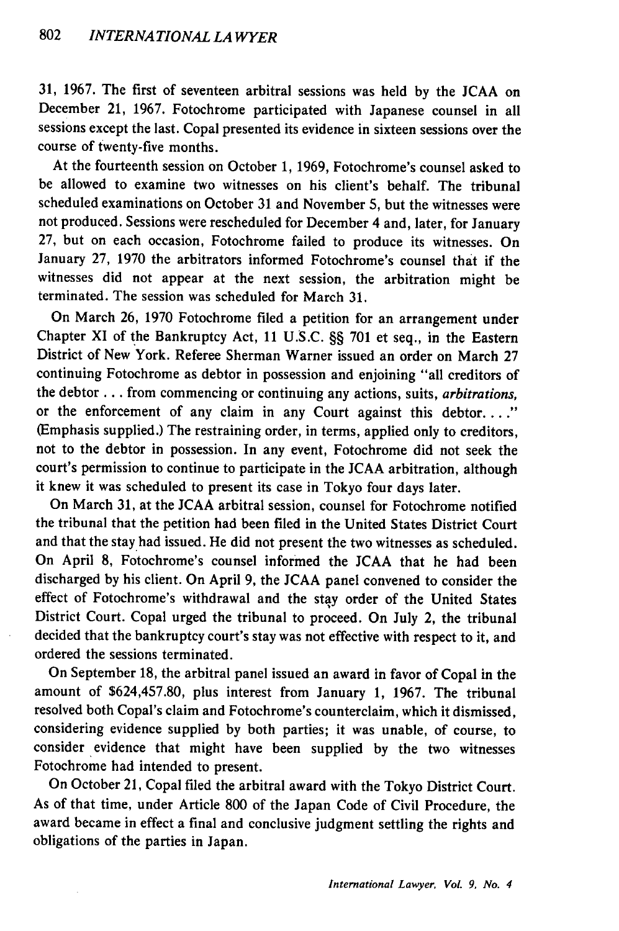**31,** 1967. The first of seventeen arbitral sessions was held by the **JCAA** on December 21, 1967. Fotochrome participated with Japanese counsel in all sessions except the last. Copal presented its evidence in sixteen sessions over the course of twenty-five months.

At the fourteenth session on October 1, 1969, Fotochrome's counsel asked to be allowed to examine two witnesses on his client's behalf. The tribunal scheduled examinations on October 31 and November 5, but the witnesses were not produced. Sessions were rescheduled for December 4 and, later, for January 27, but on each occasion, Fotochrome failed to produce its witnesses. On January 27, 1970 the arbitrators informed Fotochrome's counsel that if the witnesses did not appear at the next session, the arbitration might be terminated. The session was scheduled for March 31.

On March 26, 1970 Fotochrome filed a petition for an arrangement under Chapter XI of the Bankruptcy Act, 11 U.S.C. §§ 701 et seq., in the Eastern District of New York. Referee Sherman Warner issued an order on March 27 continuing Fotochrome as debtor in possession and enjoining "all creditors of the debtor.., from commencing or continuing any actions, suits, *arbitrations,* or the enforcement of any claim in any Court against this debtor. **.. "** (Emphasis supplied.) The restraining order, in terms, applied only to creditors, not to the debtor in possession. In any event, Fotochrome did not seek the court's permission to continue to participate in the JCAA arbitration, although it knew it was scheduled to present its case in Tokyo four days later.

On March 31, at the JCAA arbitral session, counsel for Fotochrome notified the tribunal that the petition had been filed in the United States District Court and that the stay had issued. He did not present the two witnesses as scheduled. On April 8, Fotochrome's counsel informed the JCAA that he had been discharged by his client. On April 9, the JCAA panel convened to consider the effect of Fotochrome's withdrawal and the stay order of the United States District Court. Copal urged the tribunal to proceed. On July 2, the tribunal decided that the bankruptcy court's stay was not effective with respect to it, and ordered the sessions terminated.

On September 18, the arbitral panel issued an award in favor of Copal in the amount of \$624,457.80, plus interest from January 1, 1967. The tribunal resolved both Copal's claim and Fotochrome's counterclaim, which it dismissed, considering evidence supplied by both parties; it was unable, of course, to consider evidence that might have been supplied by the two witnesses Fotochrome had intended to present.

On October 21, Copal filed the arbitral award with the Tokyo District Court. As of that time, under Article 800 of the Japan Code of Civil Procedure, the award became in effect a final and conclusive judgment settling the rights and obligations of the parties in Japan.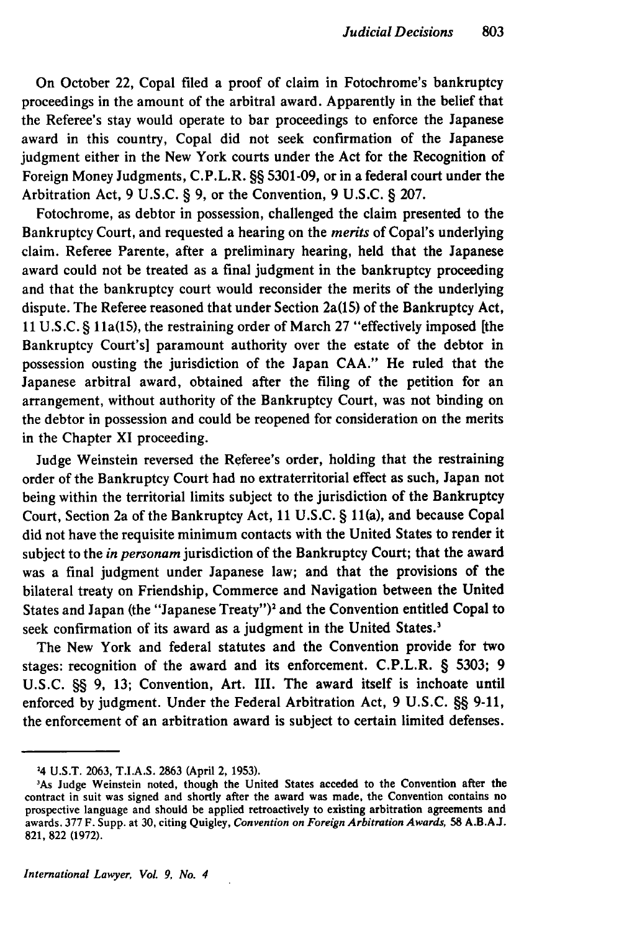On October 22, Copal filed a proof of claim in Fotochrome's bankruptcy proceedings in the amount of the arbitral award. Apparently in the belief that the Referee's stay would operate to bar proceedings to enforce the Japanese award in this country, Copal did not seek confirmation of the Japanese judgment either in the New York courts under the Act for the Recognition of Foreign Money Judgments, C.P.L.R. **§§ 5301-09,** or in a federal court under the Arbitration Act, **9 U.S.C.** § **9,** or the Convention, **9 U.S.C. § 207.**

Fotochrome, as debtor in possession, challenged the claim presented to the Bankruptcy Court, and requested a hearing on the *merits* of Copal's underlying claim. Referee Parente, after a preliminary hearing, held that the Japanese award could not be treated as a final judgment in the bankruptcy proceeding and that the bankruptcy court would reconsider the merits of the underlying dispute. The Referee reasoned that under Section 2a(15) of the Bankruptcy Act, **11 U.S.C. § I** la(15), the restraining order of March **27** "effectively imposed [the Bankruptcy Court's] paramount authority over the estate of the debtor in possession ousting the jurisdiction of the Japan **CAA."** He ruled that the Japanese arbitral award, obtained after the filing of the petition for an arrangement, without authority of the Bankruptcy Court, was not binding on the debtor in possession and could be reopened for consideration on the merits in the Chapter XI proceeding.

Judge Weinstein reversed the Referee's order, holding that the restraining order of the Bankruptcy Court had no extraterritorial effect as such, Japan not being within the territorial limits subject to the jurisdiction of the Bankruptcy Court, Section 2a of the Bankruptcy Act, **11 U.S.C. §** 11(a), and because Copal did not have the requisite minimum contacts with the United States to render it subject to the *in personam* jurisdiction of the Bankruptcy Court; that the award was a final judgment under Japanese law; and that the provisions of the bilateral treaty on Friendship, Commerce and Navigation between the United States and Japan (the "Japanese Treaty")<sup>2</sup> and the Convention entitled Copal to seek confirmation of its award as a judgment in the United States.<sup>3</sup>

The New York and federal statutes and the Convention provide for two stages: recognition of the award and its enforcement. C.P.L.R. **§ 5303; 9 U.S.C.** §§ **9, 13;** Convention, Art. III. The award itself is inchoate until enforced **by** judgment. Under the Federal Arbitration Act, **9 U.S.C. §§ 9-11,** the enforcement of an arbitration award is subject to certain limited defenses.

**<sup>24</sup>U.S.T. 2063,** T.I.A.S. **2863** (April 2, **1953).**

As Judge Weinstein noted, though the United States acceded to the Convention after the contract in suit was signed and shortly after the award was made, the Convention contains no prospective language and should be applied retroactively to existing arbitration agreements and awards. **377** F. Supp. at **30,** citing Quigley, *Convention on Foreign Arbitration Awards,* **58 A.B.AJ. 821, 822 (1972).**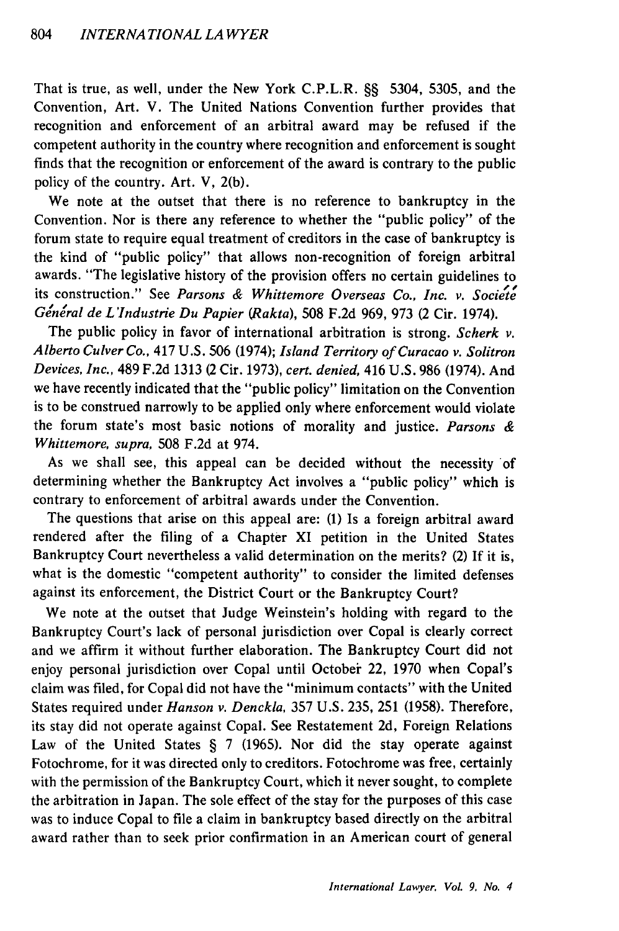That is true, as well, under the New York C.P.L.R. §§ 5304, 5305, and the Convention, Art. V. The United Nations Convention further provides that recognition and enforcement of an arbitral award may be refused if the competent authority in the country where recognition and enforcement is sought finds that the recognition or enforcement of the award is contrary to the public policy of the country. Art. V, 2(b).

We note at the outset that there is no reference to bankruptcy in the Convention. Nor is there any reference to whether the "public policy" of the forum state to require equal treatment of creditors in the case of bankruptcy is the kind of "public policy" that allows non-recognition of foreign arbitral awards. "The legislative history of the provision offers no certain guidelines to its construction." See *Parsons & Whittemore Overseas Co., Inc. v. Societe Ge'neral de L 'Industrie Du Papier (Rakta),* 508 F.2d 969, 973 (2 Cir. 1974).

The public policy in favor of international arbitration is strong. *Scherk v. Alberto Culver Co.,* 417 U.S. 506 (1974); *Island Territory of Curacao v. Solitron Devices, Inc.,* 489 F.2d 1313 (2 Cir. 1973), *cert. denied,* 416 U.S. 986 (1974). And we have recently indicated that the "public policy" limitation on the Convention is to be construed narrowly to be applied only where enforcement would violate the forum state's most basic notions of morality and justice. *Parsons & Whittemore, supra,* 508 F.2d at 974.

As we shall see, this appeal can be decided without the necessity of determining whether the Bankruptcy Act involves a "public policy" which is contrary to enforcement of arbitral awards under the Convention.

The questions that arise on this appeal are: (1) Is a foreign arbitral award rendered after the filing of a Chapter XI petition in the United States Bankruptcy Court nevertheless a valid determination on the merits? (2) If it is, what is the domestic "competent authority" to consider the limited defenses against its enforcement, the District Court or the Bankruptcy Court?

We note at the outset that Judge Weinstein's holding with regard to the Bankruptcy Court's lack of personal jurisdiction over Copal is clearly correct and we affirm it without further elaboration. The Bankruptcy Court did not enjoy personal jurisdiction over Copal until October 22, 1970 when Copal's claim was filed, for Copal did not have the "minimum contacts" with the United States required under *Hanson v. Denckla,* 357 U.S. 235, 251 (1958). Therefore, its stay did not operate against Copal. See Restatement 2d, Foreign Relations Law of the United States § 7 (1965). Nor did the stay operate against Fotochrome, for it was directed only to creditors. Fotochrome was free, certainly with the permission of the Bankruptcy Court, which it never sought, to complete the arbitration in Japan. The sole effect of the stay for the purposes of this case was to induce Copal to file a claim in bankruptcy based directly on the arbitral award rather than to seek prior confirmation in an American court of general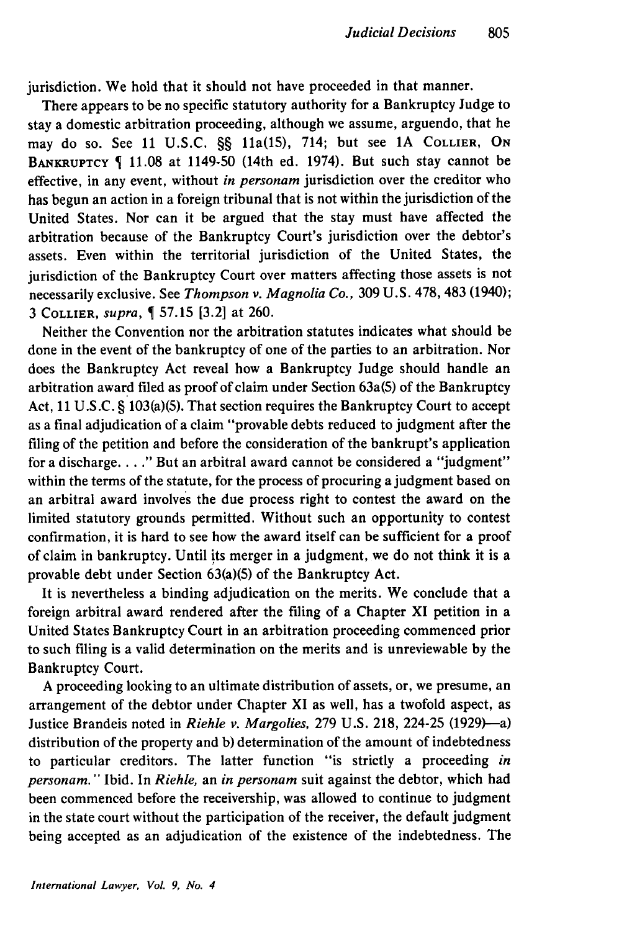jurisdiction. We hold that it should not have proceeded in that manner.

There appears to be no specific statutory authority for a Bankruptcy Judge to stay a domestic arbitration proceeding, although we assume, arguendo, that he may do so. See **11 U.S.C.** §§ lla(1S), 714; but see **1A COLLIER, ON BANKRUPTCY 11.08** at 1149-50 (14th ed. 1974). But such stay cannot be effective, in any event, without *in personam* jurisdiction over the creditor who has begun an action in a foreign tribunal that is not within the jurisdiction of the United States. Nor can it be argued that the stay must have affected the arbitration because of the Bankruptcy Court's jurisdiction over the debtor's assets. Even within the territorial jurisdiction of the United States, the jurisdiction of the Bankruptcy Court over matters affecting those assets is not necessarily exclusive. See *Thompson v. Magnolia Co.,* **309 U.S. 478,** 483 (1940); 3 **COLLIER,** *supra,* **57.15 [3.2]** at 260.

Neither the Convention nor the arbitration statutes indicates what should be done in the event of the bankruptcy of one of the parties to an arbitration. Nor does the Bankruptcy Act reveal how a Bankruptcy Judge should handle an arbitration award filed as proof of claim under Section 63a(5) of the Bankruptcy Act, 11 U.S.C. § 103(a)(5). That section requires the Bankruptcy Court to accept as a final adjudication of a claim "provable debts reduced to judgment after the filing of the petition and before the consideration of the bankrupt's application for a discharge **... ."** But an arbitral award cannot be considered a "judgment" within the terms of the statute, for the process of procuring a judgment based on an arbitral award involves the due process right to contest the award on the limited statutory grounds permitted. Without such an opportunity to contest confirmation, it is hard to see how the award itself can be sufficient for a proof of claim in bankruptcy. Until its merger in a judgment, we do not think it is a provable debt under Section 63(a)(5) of the Bankruptcy Act.

It is nevertheless a binding adjudication on the merits. We conclude that a foreign arbitral award rendered after the filing of a Chapter XI petition in a United States Bankruptcy Court in an arbitration proceeding commenced prior to such filing is a valid determination on the merits and is unreviewable by the Bankruptcy Court.

A proceeding looking to an ultimate distribution of assets, or, we presume, an arrangement of the debtor under Chapter XI as well, has a twofold aspect, as Justice Brandeis noted in *Riehle v. Margolies,* 279 U.S. 218, 224-25 (1929)-a) distribution of the property and b) determination of the amount of indebtedness to particular creditors. The latter function "is strictly a proceeding *in personam."-* Ibid. In *Riehle,* an *in personam* suit against the debtor, which had been commenced before the receivership, was allowed to continue to judgment in the state court without the participation of the receiver, the default judgment being accepted as an adjudication of the existence of the indebtedness. The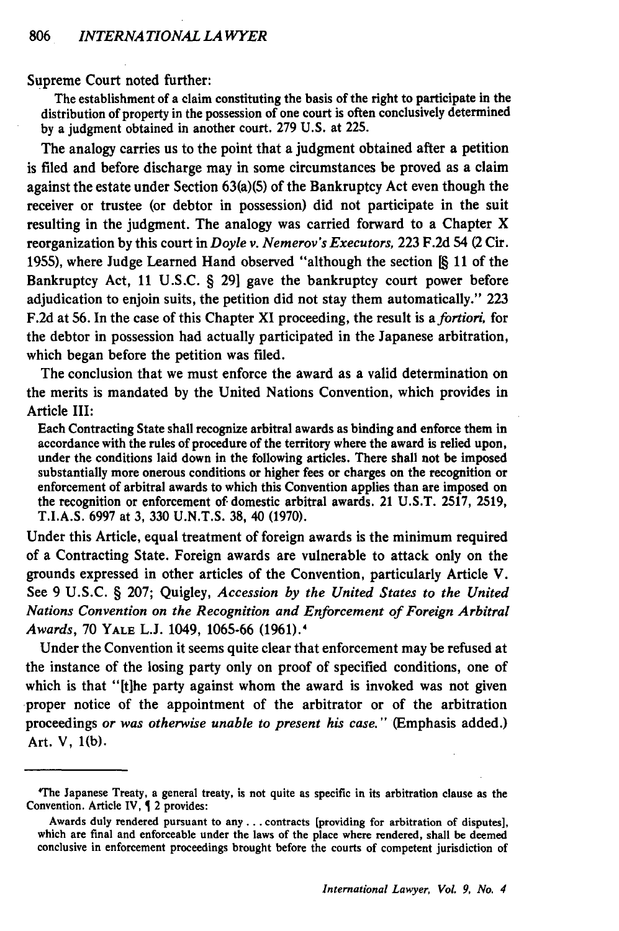Supreme Court noted further:

The establishment of a claim constituting the basis of the right to participate in the distribution of property in the possession of one court is often conclusively determined **by** a judgment obtained in another court. **279 U.S.** at 225.

The analogy carries us to the point that a judgment obtained after a petition is filed and before discharge may in some circumstances be proved as a claim against the estate under Section 63(a)(5) of the Bankruptcy Act even though the receiver or trustee (or debtor in possession) did not participate in the suit resulting in the judgment. The analogy was carried forward to a Chapter X reorganization **by** this court in *Doyle v. Nemerov's Executors,* **223 F.2d** 54 (2 Cir. **1955),** where Judge Learned Hand observed "although the section **[§ 11** of the Bankruptcy Act, **11 U.S.C.** § **29]** gave the bankruptcy court power before adjudication to enjoin suits, the petition did not stay them automatically." **223 F.2d** at **56.** In the case of this Chapter XI proceeding, the result is *afortiori,* for the debtor in possession had actually participated in the Japanese arbitration, which began before the petition was filed.

The conclusion that we must enforce the award as a valid determination on the merits is mandated **by** the United Nations Convention, which provides in Article III:

Each Contracting State shall recognize arbitral awards as binding and enforce them in accordance with the rules of procedure of the territory where the award is relied upon, under the conditions laid down in the following articles. There shall not be imposed substantially more onerous conditions or higher fees or charges on the recognition or enforcement of arbitral awards to which this Convention applies than are imposed on the recognition or enforcement of domestic arbitral awards. 21 **U.S.T. 2517, 2519,** T.I.A.S. **6997** at **3, 330 U.N.T.S. 38,** 40 **(1970).**

Under this Article, equal treatment of foreign awards is the minimum required of a Contracting State. Foreign awards are vulnerable to attack only on the grounds expressed in other articles of the Convention, particularly Article V. See **9 U.S.C.** § **207;** Quigley, *Accession by the United States to the United Nations Convention on the Recognition and Enforcement of Foreign Arbitral Awards,* **70 YALE** L.J. 1049, 1065-66 **(1961). <sup>4</sup>**

Under the Convention it seems quite clear that enforcement may be refused at the instance of the losing party only on proof of specified conditions, one of which is that "[t]he party against whom the award is invoked was not given proper notice of the appointment of the arbitrator or of the arbitration proceedings or *was otherwise unable to present his case."* (Emphasis added.) Art. V, **l(b).**

<sup>\*</sup>The Japanese Treaty, a general treaty, is not quite as specific in its arbitration clause as the Convention. Article IV, 12 provides:

Awards duly rendered pursuant to any **...** contracts [providing for arbitration of disputes], which are final and enforceable under the laws of the place where rendered, shall be deemed conclusive in enforcement proceedings brought before the courts of competent jurisdiction of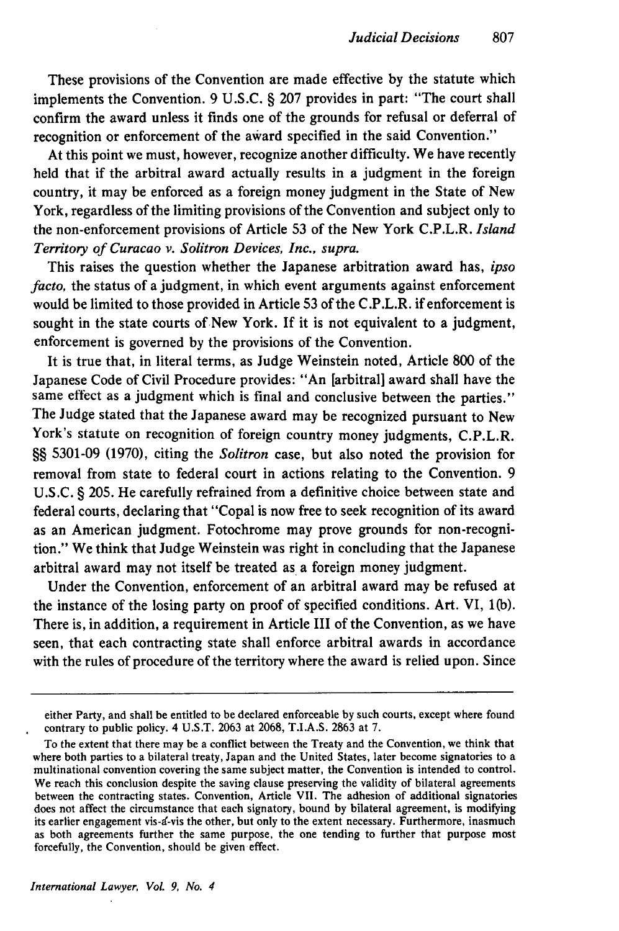These provisions of the Convention are made effective **by** the statute which implements the Convention. **9 U.S.C.** § **207** provides in part: "The court shall confirm the award unless it finds one of the grounds for refusal or deferral of recognition or enforcement of the award specified in the said Convention."

At this point we must, however, recognize another difficulty. We have recently held that if the arbitral award actually results in a judgment in the foreign country, it may be enforced as a foreign money judgment in the State of New York, regardless of the limiting provisions of the Convention and subject only to the non-enforcement provisions of Article **53** of the New York C.P.L.R. *Island Territory of Curacao v. Solitron Devices, Inc., supra.*

This raises the question whether the Japanese arbitration award has, *ipso facto,* the status of a judgment, in which event arguments against enforcement would be limited to those provided in Article **53** of the C.P.L.R. if enforcement is sought in the state courts of New York. **If** it is not equivalent to a judgment, enforcement is governed **by** the provisions of the Convention.

It is true that, in literal terms, as Judge Weinstein noted, Article **800** of the Japanese Code of Civil Procedure provides: "An [arbitral] award shall have the same effect as a judgment which is final and conclusive between the parties." The Judge stated that the Japanese award may be recognized pursuant to New York's statute on recognition of foreign country money judgments, C.P.L.R. §§ **5301-09 (1970),** citing the *Solitron* case, but also noted the provision for removal from state to federal court in actions relating to the Convention. **9 U.S.C.** § **205.** He carefully refrained from a definitive choice between state and federal courts, declaring that "Copal is now free to seek recognition of its award as an American judgment. Fotochrome may prove grounds for non-recognition." We think that Judge Weinstein was right in concluding that the Japanese arbitral award may not itself be treated as a foreign money judgment.

Under the Convention, enforcement of an arbitral award may be refused at the instance of the losing party on proof of specified conditions. Art. VI, **1(b).** There is, in addition, a requirement in Article III of the Convention, as we have seen, that each contracting state shall enforce arbitral awards in accordance with the rules of procedure of the territory where the award is relied upon. Since

either Party, and shall be entitled to be declared enforceable **by** such courts, except where found contrary to public policy. 4 **U.S.T. 2063** at **2068,** T.I.A.S. **2863** at **7.**

To the extent that there may be a conflict between the Treaty and the Convention, we think that where both parties to a bilateral treaty, Japan and the United States, later become signatories to a multinational convention covering the same subject matter, the Convention is intended to control. We reach this conclusion despite the saving clause preserving the validity of bilateral agreements between the contracting states. Convention, Article **VII.** The adhesion of additional signatories does not affect the circumstance that each signatory, bound **by** bilateral agreement, is modifying its earlier engagement vis-a-vis the other, but only to the extent necessary. Furthermore, inasmuch as both agreements further the same purpose, the one tending to further that purpose most forcefully, the Convention, should be given effect.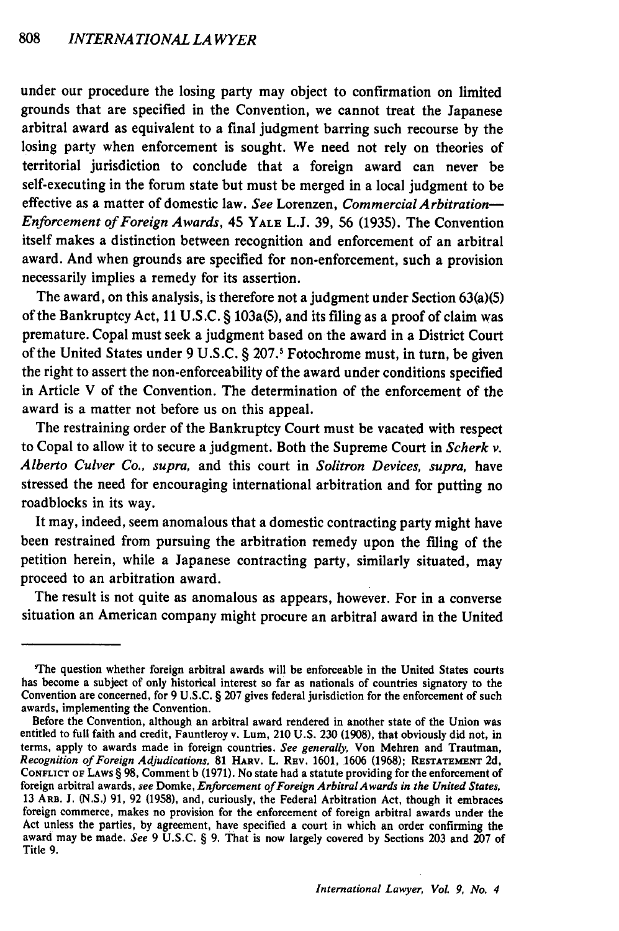under our procedure the losing party may object to confirmation on limited grounds that are specified in the Convention, we cannot treat the Japanese arbitral award as equivalent to a final judgment barring such recourse **by** the losing party when enforcement is sought. We need not rely on theories of territorial jurisdiction to conclude that a foreign award can never be self-executing in the forum state but must be merged in a local judgment to be effective as a matter of domestic law. See Lorenzen. Commercial Arbitration-*Enforcement of Foreign Awards,* 45 YALE **L.J. 39, 56 (1935).** The Convention itself makes a distinction between recognition and enforcement of an arbitral award. And when grounds are specified for non-enforcement, such a provision necessarily implies a remedy for its assertion.

The award, on this analysis, is therefore not a judgment under Section 63(a)(5) of the Bankruptcy Act, **11 U.S.C. §** 103a(5), and its filing as a proof of claim was premature. Copal must seek a judgment based on the award in a District Court of the United States under **9 U.S.C. § 207.1** Fotochrome must, in turn, be given the right to assert the non-enforceability of the award under conditions specified in Article V of the Convention. The determination of the enforcement of the award is a matter not before us on this appeal.

The restraining order of the Bankruptcy Court must be vacated with respect to Copal to allow it to secure a judgment. Both the Supreme Court in *Scherk v. Alberto Culver Co., supra,* and this court in *Solitron Devices, supra,* have stressed the need for encouraging international arbitration and for putting no roadblocks in its way.

It may, indeed, seem anomalous that a domestic contracting party might have been restrained from pursuing the arbitration remedy upon the filing of the petition herein, while a Japanese contracting party, similarly situated, may proceed to an arbitration award.

The result is not quite as anomalous as appears, however. For in a converse situation an American company might procure an arbitral award in the United

<sup>&#</sup>x27;The question whether foreign arbitral awards will be enforceable in the United States courts has become a subject of only historical interest so far as nationals of countries signatory to the Convention are concerned, for **9 U.S.C. § 207** gives federal jurisdiction for the enforcement of such awards, implementing the Convention.

Before the Convention, although an arbitral award rendered in another state of the Union was entitled to full faith and credit, Fauntleroy v. Lum, 210 **U.S. 230 (1908),** that obviously did not, in terms, apply to awards made in foreign countries. *See generally,* Von Mehren and Trautman, *Recognition of Foreign Adjudications,* **81** HAnv. L. **REV. 1601, 1606 (1968); RESTATEMENT 2d, CONFLICT OF LAWS § 98,** Comment **b (1971).** No state had a statute providing for the enforcement **of** foreign arbitral awards, *see* Domke, *Enforcement of Foreign ArbitralAwards in the United States,* **<sup>13</sup>**An. **J. (N.S.) 91, 92 (1958),** and, curiously, the Federal Arbitration Act, though it embraces foreign commerce, makes no provision for the enforcement of foreign arbitral awards under the Act unless the parties, **by** agreement, have specified a court in which an order confirming the award may be made. *See* **9 U.S.C. § 9.** That is now largely covered **by** Sections **203** and **207** of Title **9.**